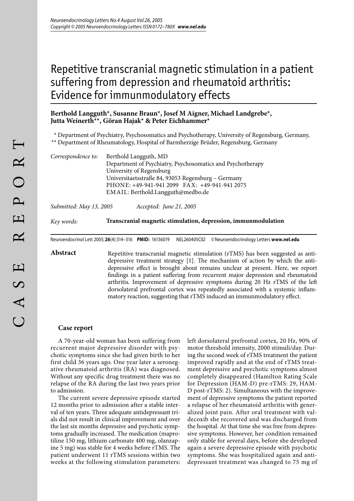# Repetitive transcranial magnetic stimulation in a patient suffering from depression and rheumatoid arthritis: Evidence for immunmodulatory effects

## **Berthold Langguth\*, Susanne Braun\*, Josef M Aigner, Michael Landgrebe\*, Jutta Weinerth\*\*, Göran Hajak\* & Peter Eichhammer\***

\* Department of Psychiatry, Psychosomatics and Psychotherapy, University of Regensburg, Germany,

\*\* Department of Rheumatology, Hospital of Barmherzige Brüder, Regensburg, Germany

| Correspondence to: | Berthold Langguth, MD                                      |
|--------------------|------------------------------------------------------------|
|                    | Department of Psychiatry, Psychosomatics and Psychotherapy |
|                    | University of Regensburg                                   |
|                    | Universitaetsstraße 84, 93053 Regensburg – Germany         |
|                    | PHONE: +49-941-941 2099 FAX: +49-941-941 2075              |
|                    | EMAIL: Berthold.Langguth@medbo.de                          |

*Submitted: May 13, 2005 Accepted: June 21, 2005*

*Key words:* **Transcranial magnetic stimulation, depression, immunmodulation**

Neuroendocrinol Lett 2005; **26**(4):314–316 **PMID:** 16136019 NEL260405C02 © Neuroendocrinology Letters **www.nel.edu**

Abstract Repetitive transcranial magnetic stimulation (rTMS) has been suggested as antidepressive treatment strategy [1]. The mechanism of action by which the antidepressive effect is brought about remains unclear at present. Here, we report findings in a patient suffering from recurrent major depression and rheumatoid arthritis. Improvement of depressive symptoms during 20 Hz rTMS of the left dorsolateral prefrontal cortex was repeatedly associated with a systemic inflammatory reaction, suggesting that rTMS induced an immunmodulatory effect.

### **Case report**

A 70-year-old woman has been suffering from recurrent major depressive disorder with psychotic symptoms since she had given birth to her first child 36 years ago. One year later a seronegative rheumatoid arthritis (RA) was diagnosed. Without any specific drug treatment there was no relapse of the RA during the last two years prior to admission.

The current severe depressive episode started 12 months prior to admission after a stable interval of ten years. Three adequate antidepressant trials did not result in clinical improvement and over the last six months depressive and psychotic symptoms gradually increased. The medication (maprotiline 150 mg, lithium carbonate 400 mg, olanzapine 5 mg) was stable for 4 weeks before rTMS. The patient underwent 11 rTMS sessions within two weeks at the following stimulation parameters:

left dorsolateral prefrontal cortex, 20 Hz, 90% of motor threshold intensity, 2000 stimuli/day. During the second week of rTMS treatment the patient improved rapidly and at the end of rTMS treatment depressive and psychotic symptoms almost completely disappeared (Hamilton Rating Scale for Depression (HAM-D) pre-rTMS: 29, HAM-D post-rTMS: 2). Simultaneous with the improvement of depressive symptoms the patient reported a relapse of her rheumatoid arthritis with generalized joint pain. After oral treatment with valdecoxib she recovered and was discharged from the hospital. At that time she was free from depressive symptoms. However, her condition remained only stable for several days, before she developed again a severe depressive episode with psychotic symptoms. She was hospitalized again and antidepressant treatment was changed to 75 mg of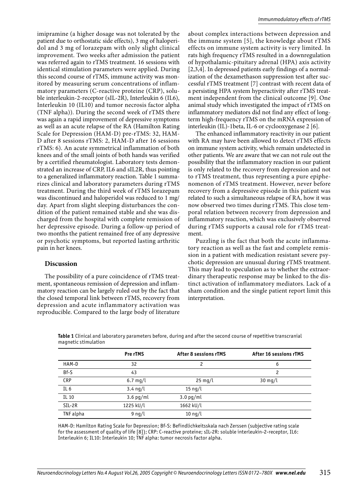imipramine (a higher dosage was not tolerated by the patient due to orthostatic side effects), 3 mg of haloperidol and 3 mg of lorazepam with only slight clinical improvement. Two weeks after admission the patient was referred again to rTMS treatment. 16 sessions with identical stimulation parameters were applied. During this second course of rTMS, immune activity was monitored by measuring serum concentrations of inflammatory parameters (C-reactive proteine (CRP), soluble interleukin-2-receptor (sIL-2R), Interleukin 6 (IL6), Interleukin 10 (IL10) and tumor necrosis factor alpha (TNF alpha)). During the second week of rTMS there was again a rapid improvement of depressive symptoms as well as an acute relapse of the RA (Hamilton Rating Scale for Depression (HAM-D) pre-rTMS: 32, HAM-D after 8 sessions rTMS: 2, HAM-D after 16 sessions rTMS: 6). An acute symmetrical inflammation of both knees and of the small joints of both hands was verified by a certified rheumatologist. Laboratory tests demonstrated an increase of CRP, IL6 and sIL2R, thus pointing to a generalized inflammatory reaction. Table 1 summarizes clinical and laboratory parameters during rTMS treatment. During the third week of rTMS lorazepam was discontinued and haloperidol was reduced to 1 mg/ day. Apart from slight sleeping disturbances the condition of the patient remained stable and she was discharged from the hospital with complete remission of her depressive episode. During a follow-up period of two months the patient remained free of any depressive or psychotic symptoms, but reported lasting arthritic pain in her knees.

#### **Discussion**

The possibility of a pure coincidence of rTMS treatment, spontaneous remission of depression and inflammatory reaction can be largely ruled out by the fact that the closed temporal link between rTMS, recovery from depression and acute inflammatory activation was reproducible. Compared to the large body of literature about complex interactions between depression and the immune system [5], the knowledge about rTMS effects on immune system activity is very limited. In rats high frequency rTMS resulted in a downregulation of hypothalamic-pituitary adrenal (HPA) axis activity [2,3,4]. In depressed patients early findings of a normalization of the dexamethason suppression test after successful rTMS treatment [7] contrast with recent data of a persisting HPA system hyperactivity after rTMS treatment independent from the clinical outcome [9]. One animal study which investigated the impact of rTMS on inflammatory mediators did not find any effect of longterm high-frequency rTMS on the mRNA expression of interleukin (IL)-1beta, IL-6 or cyclooxygenase 2 [6].

The enhanced inflammatory reactivity in our patient with RA may have been allowed to detect rTMS effects on immune system activity, which remain undetected in other patients. We are aware that we can not rule out the possibility that the inflammatory reaction in our patient is only related to the recovery from depression and not to rTMS treatment, thus representing a pure epiphenomenon of rTMS treatment. However, never before recovery from a depressive episode in this patient was related to such a simultaneous relapse of RA, how it was now observed two times during rTMS. This close temporal relation between recovery from depression and inflammatory reaction, which was exclusively observed during rTMS supports a causal role for rTMS treatment.

Puzzling is the fact that both the acute inflammatory reaction as well as the fast and complete remission in a patient with medication resistant severe psychotic depression are unusual during rTMS treatment. This may lead to speculation as to whether the extraordinary therapeutic response may be linked to the distinct activation of inflammatory mediators. Lack of a sham condition and the single patient report limit this interpretation.

|                 | Pre rTMS           | <b>After 8 sessions rTMS</b> | After 16 sessions rTMS |
|-----------------|--------------------|------------------------------|------------------------|
| HAM-D           | 32                 | 2                            | 6                      |
| Bf-S            | 43                 |                              | 2                      |
| CRP             | $6.7$ mg/l         | $25 \text{ mg/l}$            | $30$ mg/l              |
| IL <sub>6</sub> | $3.4 \text{ ng/l}$ | $15 \text{ ng/l}$            |                        |
| IL 10           | $3.6$ pg/ml        | $3.0$ pg/ml                  |                        |
| SIL-2R          | 1225 kU/l          | 1662 kU/L                    |                        |
| TNF alpha       | $9$ ng/l           | $10$ ng/l                    |                        |

**Table 1** Clinical and laboratory parameters before, during and after the second course of repetitive transcranial magnetic stimulation

HAM-D: Hamilton Rating Scale for Depression; Bf-S: Befindlichkeitsskala nach Zerssen (subjective rating scale for the assessment of quality of life [8]); CRP: C-reactive proteine; sIL-2R: soluble interleukin-2-receptor, IL6: Interleukin 6; IL10: Interleukin 10; TNF alpha: tumor necrosis factor alpha.